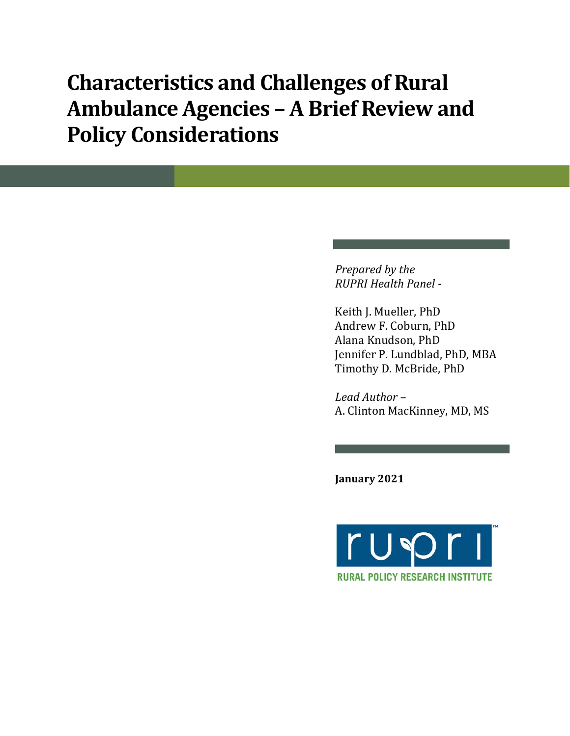# **Characteristics and Challenges of Rural Ambulance Agencies – A Brief Review and Policy Considerations**

*Prepared by the RUPRI Health Panel -*

Keith J. Mueller, PhD Andrew F. Coburn, PhD Alana Knudson, PhD Jennifer P. Lundblad, PhD, MBA Timothy D. McBride, PhD

*Lead Author –* A. Clinton MacKinney, MD, MS

**January 2021**

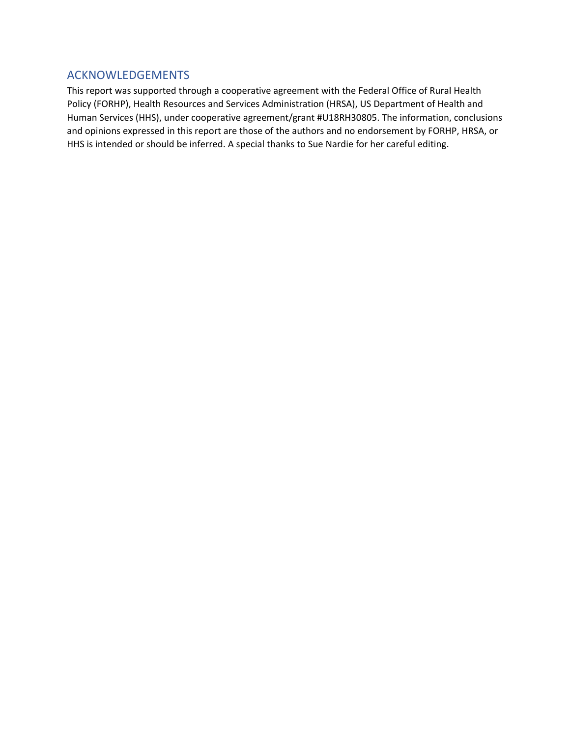## ACKNOWLEDGEMENTS

This report was supported through a cooperative agreement with the Federal Office of Rural Health Policy (FORHP), Health Resources and Services Administration (HRSA), US Department of Health and Human Services (HHS), under cooperative agreement/grant #U18RH30805. The information, conclusions and opinions expressed in this report are those of the authors and no endorsement by FORHP, HRSA, or HHS is intended or should be inferred. A special thanks to Sue Nardie for her careful editing.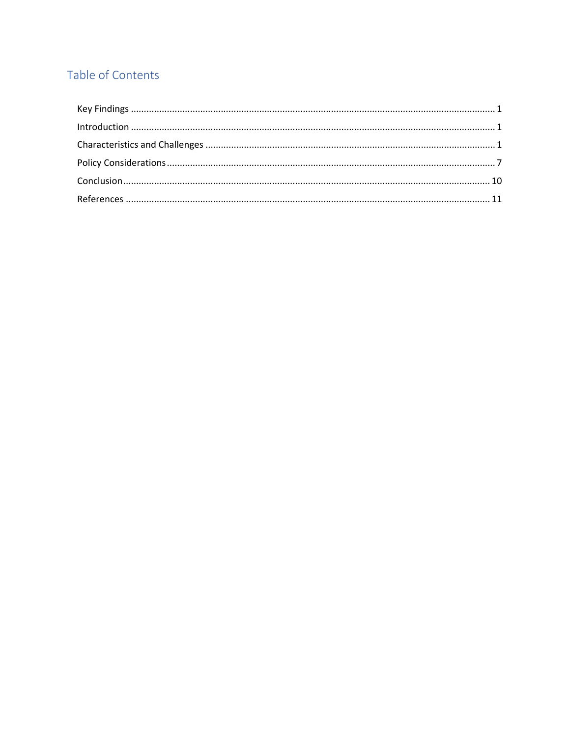## Table of Contents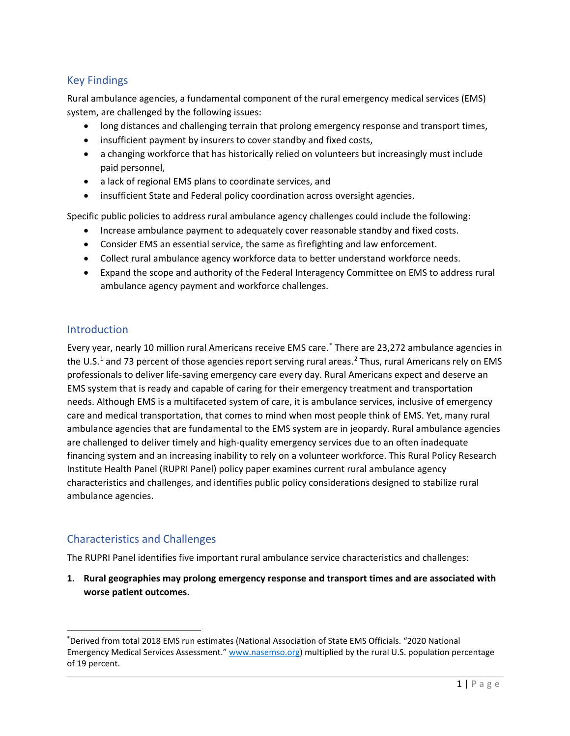## Key Findings

Rural ambulance agencies, a fundamental component of the rural emergency medical services (EMS) system, are challenged by the following issues:

- long distances and challenging terrain that prolong emergency response and transport times,
- insufficient payment by insurers to cover standby and fixed costs,
- a changing workforce that has historically relied on volunteers but increasingly must include paid personnel,
- a lack of regional EMS plans to coordinate services, and
- insufficient State and Federal policy coordination across oversight agencies.

Specific public policies to address rural ambulance agency challenges could include the following:

- Increase ambulance payment to adequately cover reasonable standby and fixed costs.
- Consider EMS an essential service, the same as firefighting and law enforcement.
- Collect rural ambulance agency workforce data to better understand workforce needs.
- Expand the scope and authority of the Federal Interagency Committee on EMS to address rural ambulance agency payment and workforce challenges.

## Introduction

Every year, nearly 10 million rural Americans receive EMS care.\* There are 23,272 ambulance agencies in the U.S.<sup>1</sup> and 73 percent of those agencies report serving rural areas.<sup>2</sup> Thus, rural Americans rely on EMS professionals to deliver life-saving emergency care every day. Rural Americans expect and deserve an EMS system that is ready and capable of caring for their emergency treatment and transportation needs. Although EMS is a multifaceted system of care, it is ambulance services, inclusive of emergency care and medical transportation, that comes to mind when most people think of EMS. Yet, many rural ambulance agencies that are fundamental to the EMS system are in jeopardy. Rural ambulance agencies are challenged to deliver timely and high-quality emergency services due to an often inadequate financing system and an increasing inability to rely on a volunteer workforce. This Rural Policy Research Institute Health Panel (RUPRI Panel) policy paper examines current rural ambulance agency characteristics and challenges, and identifies public policy considerations designed to stabilize rural ambulance agencies.

## Characteristics and Challenges

The RUPRI Panel identifies five important rural ambulance service characteristics and challenges:

**1. Rural geographies may prolong emergency response and transport times and are associated with worse patient outcomes.** 

<sup>\*</sup> Derived from total 2018 EMS run estimates (National Association of State EMS Officials. "2020 National Emergency Medical Services Assessment." www.nasemso.org) multiplied by the rural U.S. population percentage of 19 percent.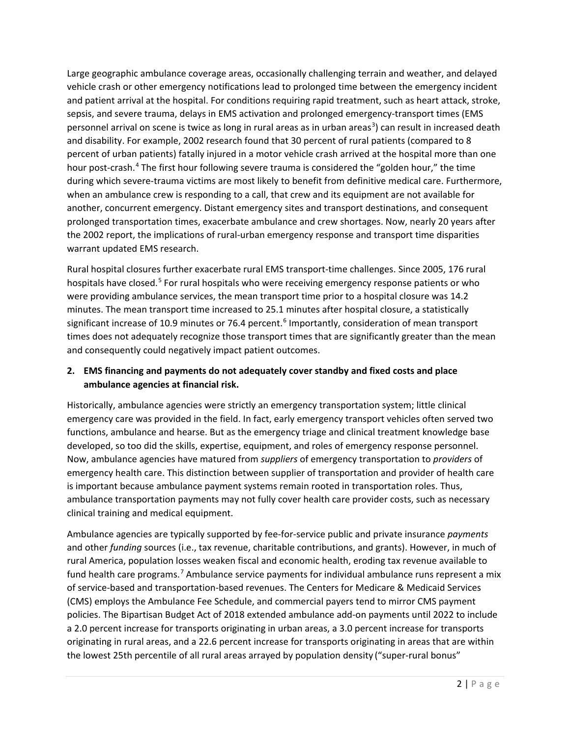Large geographic ambulance coverage areas, occasionally challenging terrain and weather, and delayed vehicle crash or other emergency notifications lead to prolonged time between the emergency incident and patient arrival at the hospital. For conditions requiring rapid treatment, such as heart attack, stroke, sepsis, and severe trauma, delays in EMS activation and prolonged emergency-transport times (EMS personnel arrival on scene is twice as long in rural areas as in urban areas<sup>3</sup>) can result in increased death and disability. For example, 2002 research found that 30 percent of rural patients (compared to 8 percent of urban patients) fatally injured in a motor vehicle crash arrived at the hospital more than one hour post-crash.<sup>4</sup> The first hour following severe trauma is considered the "golden hour," the time during which severe-trauma victims are most likely to benefit from definitive medical care. Furthermore, when an ambulance crew is responding to a call, that crew and its equipment are not available for another, concurrent emergency. Distant emergency sites and transport destinations, and consequent prolonged transportation times, exacerbate ambulance and crew shortages. Now, nearly 20 years after the 2002 report, the implications of rural-urban emergency response and transport time disparities warrant updated EMS research.

Rural hospital closures further exacerbate rural EMS transport-time challenges. Since 2005, 176 rural hospitals have closed.<sup>5</sup> For rural hospitals who were receiving emergency response patients or who were providing ambulance services, the mean transport time prior to a hospital closure was 14.2 minutes. The mean transport time increased to 25.1 minutes after hospital closure, a statistically significant increase of 10.9 minutes or 76.4 percent.<sup>6</sup> Importantly, consideration of mean transport times does not adequately recognize those transport times that are significantly greater than the mean and consequently could negatively impact patient outcomes.

## **2. EMS financing and payments do not adequately cover standby and fixed costs and place ambulance agencies at financial risk.**

Historically, ambulance agencies were strictly an emergency transportation system; little clinical emergency care was provided in the field. In fact, early emergency transport vehicles often served two functions, ambulance and hearse. But as the emergency triage and clinical treatment knowledge base developed, so too did the skills, expertise, equipment, and roles of emergency response personnel. Now, ambulance agencies have matured from *suppliers* of emergency transportation to *providers* of emergency health care. This distinction between supplier of transportation and provider of health care is important because ambulance payment systems remain rooted in transportation roles. Thus, ambulance transportation payments may not fully cover health care provider costs, such as necessary clinical training and medical equipment.

Ambulance agencies are typically supported by fee-for-service public and private insurance *payments* and other *funding* sources (i.e., tax revenue, charitable contributions, and grants). However, in much of rural America, population losses weaken fiscal and economic health, eroding tax revenue available to fund health care programs.7 Ambulance service payments for individual ambulance runs represent a mix of service-based and transportation-based revenues. The Centers for Medicare & Medicaid Services (CMS) employs the Ambulance Fee Schedule, and commercial payers tend to mirror CMS payment policies. The Bipartisan Budget Act of 2018 extended ambulance add-on payments until 2022 to include a 2.0 percent increase for transports originating in urban areas, a 3.0 percent increase for transports originating in rural areas, and a 22.6 percent increase for transports originating in areas that are within the lowest 25th percentile of all rural areas arrayed by population density ("super-rural bonus"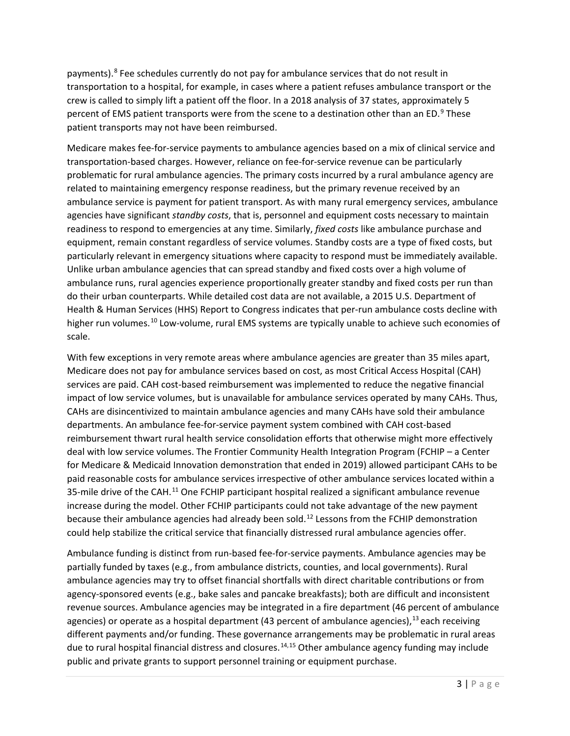payments).<sup>8</sup> Fee schedules currently do not pay for ambulance services that do not result in transportation to a hospital, for example, in cases where a patient refuses ambulance transport or the crew is called to simply lift a patient off the floor. In a 2018 analysis of 37 states, approximately 5 percent of EMS patient transports were from the scene to a destination other than an ED.<sup>9</sup> These patient transports may not have been reimbursed.

Medicare makes fee-for-service payments to ambulance agencies based on a mix of clinical service and transportation-based charges. However, reliance on fee-for-service revenue can be particularly problematic for rural ambulance agencies. The primary costs incurred by a rural ambulance agency are related to maintaining emergency response readiness, but the primary revenue received by an ambulance service is payment for patient transport. As with many rural emergency services, ambulance agencies have significant *standby costs*, that is, personnel and equipment costs necessary to maintain readiness to respond to emergencies at any time. Similarly, *fixed costs* like ambulance purchase and equipment, remain constant regardless of service volumes. Standby costs are a type of fixed costs, but particularly relevant in emergency situations where capacity to respond must be immediately available. Unlike urban ambulance agencies that can spread standby and fixed costs over a high volume of ambulance runs, rural agencies experience proportionally greater standby and fixed costs per run than do their urban counterparts. While detailed cost data are not available, a 2015 U.S. Department of Health & Human Services (HHS) Report to Congress indicates that per-run ambulance costs decline with higher run volumes.<sup>10</sup> Low-volume, rural EMS systems are typically unable to achieve such economies of scale.

With few exceptions in very remote areas where ambulance agencies are greater than 35 miles apart, Medicare does not pay for ambulance services based on cost, as most Critical Access Hospital (CAH) services are paid. CAH cost-based reimbursement was implemented to reduce the negative financial impact of low service volumes, but is unavailable for ambulance services operated by many CAHs. Thus, CAHs are disincentivized to maintain ambulance agencies and many CAHs have sold their ambulance departments. An ambulance fee-for-service payment system combined with CAH cost-based reimbursement thwart rural health service consolidation efforts that otherwise might more effectively deal with low service volumes. The Frontier Community Health Integration Program (FCHIP – a Center for Medicare & Medicaid Innovation demonstration that ended in 2019) allowed participant CAHs to be paid reasonable costs for ambulance services irrespective of other ambulance services located within a 35-mile drive of the CAH.<sup>11</sup> One FCHIP participant hospital realized a significant ambulance revenue increase during the model. Other FCHIP participants could not take advantage of the new payment because their ambulance agencies had already been sold.<sup>12</sup> Lessons from the FCHIP demonstration could help stabilize the critical service that financially distressed rural ambulance agencies offer.

Ambulance funding is distinct from run-based fee-for-service payments. Ambulance agencies may be partially funded by taxes (e.g., from ambulance districts, counties, and local governments). Rural ambulance agencies may try to offset financial shortfalls with direct charitable contributions or from agency-sponsored events (e.g., bake sales and pancake breakfasts); both are difficult and inconsistent revenue sources. Ambulance agencies may be integrated in a fire department (46 percent of ambulance agencies) or operate as a hospital department (43 percent of ambulance agencies),  $^{13}$  each receiving different payments and/or funding. These governance arrangements may be problematic in rural areas due to rural hospital financial distress and closures.14,15 Other ambulance agency funding may include public and private grants to support personnel training or equipment purchase.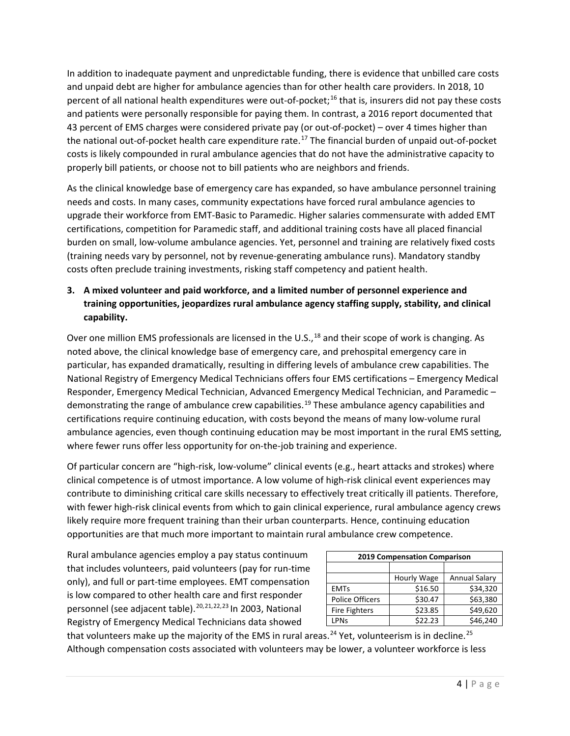In addition to inadequate payment and unpredictable funding, there is evidence that unbilled care costs and unpaid debt are higher for ambulance agencies than for other health care providers. In 2018, 10 percent of all national health expenditures were out-of-pocket;16 that is, insurers did not pay these costs and patients were personally responsible for paying them. In contrast, a 2016 report documented that 43 percent of EMS charges were considered private pay (or out-of-pocket) – over 4 times higher than the national out-of-pocket health care expenditure rate.<sup>17</sup> The financial burden of unpaid out-of-pocket costs is likely compounded in rural ambulance agencies that do not have the administrative capacity to properly bill patients, or choose not to bill patients who are neighbors and friends.

As the clinical knowledge base of emergency care has expanded, so have ambulance personnel training needs and costs. In many cases, community expectations have forced rural ambulance agencies to upgrade their workforce from EMT-Basic to Paramedic. Higher salaries commensurate with added EMT certifications, competition for Paramedic staff, and additional training costs have all placed financial burden on small, low-volume ambulance agencies. Yet, personnel and training are relatively fixed costs (training needs vary by personnel, not by revenue-generating ambulance runs). Mandatory standby costs often preclude training investments, risking staff competency and patient health.

## **3. A mixed volunteer and paid workforce, and a limited number of personnel experience and training opportunities, jeopardizes rural ambulance agency staffing supply, stability, and clinical capability.**

Over one million EMS professionals are licensed in the U.S.,<sup>18</sup> and their scope of work is changing. As noted above, the clinical knowledge base of emergency care, and prehospital emergency care in particular, has expanded dramatically, resulting in differing levels of ambulance crew capabilities. The National Registry of Emergency Medical Technicians offers four EMS certifications – Emergency Medical Responder, Emergency Medical Technician, Advanced Emergency Medical Technician, and Paramedic – demonstrating the range of ambulance crew capabilities.<sup>19</sup> These ambulance agency capabilities and certifications require continuing education, with costs beyond the means of many low-volume rural ambulance agencies, even though continuing education may be most important in the rural EMS setting, where fewer runs offer less opportunity for on-the-job training and experience.

Of particular concern are "high-risk, low-volume" clinical events (e.g., heart attacks and strokes) where clinical competence is of utmost importance. A low volume of high-risk clinical event experiences may contribute to diminishing critical care skills necessary to effectively treat critically ill patients. Therefore, with fewer high-risk clinical events from which to gain clinical experience, rural ambulance agency crews likely require more frequent training than their urban counterparts. Hence, continuing education opportunities are that much more important to maintain rural ambulance crew competence.

Rural ambulance agencies employ a pay status continuum that includes volunteers, paid volunteers (pay for run-time only), and full or part-time employees. EMT compensation is low compared to other health care and first responder personnel (see adjacent table).<sup>20,21,22,23</sup> In 2003, National Registry of Emergency Medical Technicians data showed

| 2019 Compensation Comparison |             |               |
|------------------------------|-------------|---------------|
|                              |             |               |
|                              | Hourly Wage | Annual Salary |
| <b>EMTs</b>                  | \$16.50     | \$34,320      |
| <b>Police Officers</b>       | \$30.47     | \$63,380      |
| <b>Fire Fighters</b>         | \$23.85     | \$49,620      |
| <b>LPNs</b>                  | \$22.23     | \$46,240      |

that volunteers make up the majority of the EMS in rural areas.<sup>24</sup> Yet, volunteerism is in decline.<sup>25</sup> Although compensation costs associated with volunteers may be lower, a volunteer workforce is less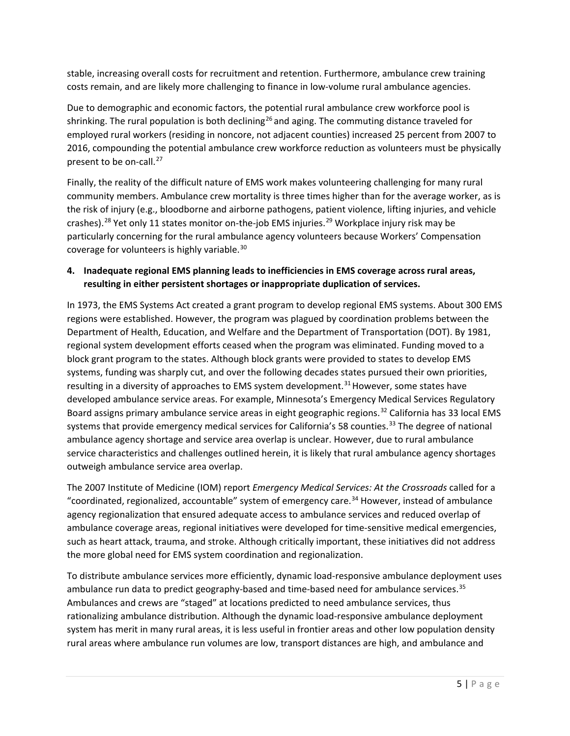stable, increasing overall costs for recruitment and retention. Furthermore, ambulance crew training costs remain, and are likely more challenging to finance in low-volume rural ambulance agencies.

Due to demographic and economic factors, the potential rural ambulance crew workforce pool is shrinking. The rural population is both declining<sup>26</sup> and aging. The commuting distance traveled for employed rural workers (residing in noncore, not adjacent counties) increased 25 percent from 2007 to 2016, compounding the potential ambulance crew workforce reduction as volunteers must be physically present to be on-call.<sup>27</sup>

Finally, the reality of the difficult nature of EMS work makes volunteering challenging for many rural community members. Ambulance crew mortality is three times higher than for the average worker, as is the risk of injury (e.g., bloodborne and airborne pathogens, patient violence, lifting injuries, and vehicle crashes).<sup>28</sup> Yet only 11 states monitor on-the-job EMS injuries.<sup>29</sup> Workplace injury risk may be particularly concerning for the rural ambulance agency volunteers because Workers' Compensation coverage for volunteers is highly variable.<sup>30</sup>

#### **4. Inadequate regional EMS planning leads to inefficiencies in EMS coverage across rural areas, resulting in either persistent shortages or inappropriate duplication of services.**

In 1973, the EMS Systems Act created a grant program to develop regional EMS systems. About 300 EMS regions were established. However, the program was plagued by coordination problems between the Department of Health, Education, and Welfare and the Department of Transportation (DOT). By 1981, regional system development efforts ceased when the program was eliminated. Funding moved to a block grant program to the states. Although block grants were provided to states to develop EMS systems, funding was sharply cut, and over the following decades states pursued their own priorities, resulting in a diversity of approaches to EMS system development.<sup>31</sup> However, some states have developed ambulance service areas. For example, Minnesota's Emergency Medical Services Regulatory Board assigns primary ambulance service areas in eight geographic regions.32 California has 33 local EMS systems that provide emergency medical services for California's 58 counties.<sup>33</sup> The degree of national ambulance agency shortage and service area overlap is unclear. However, due to rural ambulance service characteristics and challenges outlined herein, it is likely that rural ambulance agency shortages outweigh ambulance service area overlap.

The 2007 Institute of Medicine (IOM) report *Emergency Medical Services: At the Crossroads* called for a "coordinated, regionalized, accountable" system of emergency care.<sup>34</sup> However, instead of ambulance agency regionalization that ensured adequate access to ambulance services and reduced overlap of ambulance coverage areas, regional initiatives were developed for time-sensitive medical emergencies, such as heart attack, trauma, and stroke. Although critically important, these initiatives did not address the more global need for EMS system coordination and regionalization.

To distribute ambulance services more efficiently, dynamic load-responsive ambulance deployment uses ambulance run data to predict geography-based and time-based need for ambulance services.<sup>35</sup> Ambulances and crews are "staged" at locations predicted to need ambulance services, thus rationalizing ambulance distribution. Although the dynamic load-responsive ambulance deployment system has merit in many rural areas, it is less useful in frontier areas and other low population density rural areas where ambulance run volumes are low, transport distances are high, and ambulance and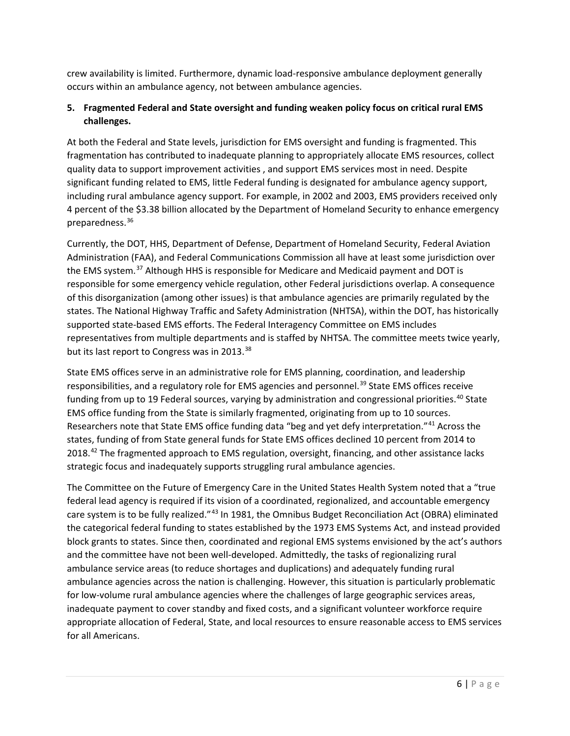crew availability is limited. Furthermore, dynamic load-responsive ambulance deployment generally occurs within an ambulance agency, not between ambulance agencies.

## **5. Fragmented Federal and State oversight and funding weaken policy focus on critical rural EMS challenges.**

At both the Federal and State levels, jurisdiction for EMS oversight and funding is fragmented. This fragmentation has contributed to inadequate planning to appropriately allocate EMS resources, collect quality data to support improvement activities , and support EMS services most in need. Despite significant funding related to EMS, little Federal funding is designated for ambulance agency support, including rural ambulance agency support. For example, in 2002 and 2003, EMS providers received only 4 percent of the \$3.38 billion allocated by the Department of Homeland Security to enhance emergency preparedness.36

Currently, the DOT, HHS, Department of Defense, Department of Homeland Security, Federal Aviation Administration (FAA), and Federal Communications Commission all have at least some jurisdiction over the EMS system.<sup>37</sup> Although HHS is responsible for Medicare and Medicaid payment and DOT is responsible for some emergency vehicle regulation, other Federal jurisdictions overlap. A consequence of this disorganization (among other issues) is that ambulance agencies are primarily regulated by the states. The National Highway Traffic and Safety Administration (NHTSA), within the DOT, has historically supported state-based EMS efforts. The Federal Interagency Committee on EMS includes representatives from multiple departments and is staffed by NHTSA. The committee meets twice yearly, but its last report to Congress was in 2013.<sup>38</sup>

State EMS offices serve in an administrative role for EMS planning, coordination, and leadership responsibilities, and a regulatory role for EMS agencies and personnel.<sup>39</sup> State EMS offices receive funding from up to 19 Federal sources, varying by administration and congressional priorities.<sup>40</sup> State EMS office funding from the State is similarly fragmented, originating from up to 10 sources. Researchers note that State EMS office funding data "beg and yet defy interpretation."<sup>41</sup> Across the states, funding of from State general funds for State EMS offices declined 10 percent from 2014 to 2018.<sup>42</sup> The fragmented approach to EMS regulation, oversight, financing, and other assistance lacks strategic focus and inadequately supports struggling rural ambulance agencies.

The Committee on the Future of Emergency Care in the United States Health System noted that a "true federal lead agency is required if its vision of a coordinated, regionalized, and accountable emergency care system is to be fully realized."<sup>43</sup> In 1981, the Omnibus Budget Reconciliation Act (OBRA) eliminated the categorical federal funding to states established by the 1973 EMS Systems Act, and instead provided block grants to states. Since then, coordinated and regional EMS systems envisioned by the act's authors and the committee have not been well-developed. Admittedly, the tasks of regionalizing rural ambulance service areas (to reduce shortages and duplications) and adequately funding rural ambulance agencies across the nation is challenging. However, this situation is particularly problematic for low-volume rural ambulance agencies where the challenges of large geographic services areas, inadequate payment to cover standby and fixed costs, and a significant volunteer workforce require appropriate allocation of Federal, State, and local resources to ensure reasonable access to EMS services for all Americans.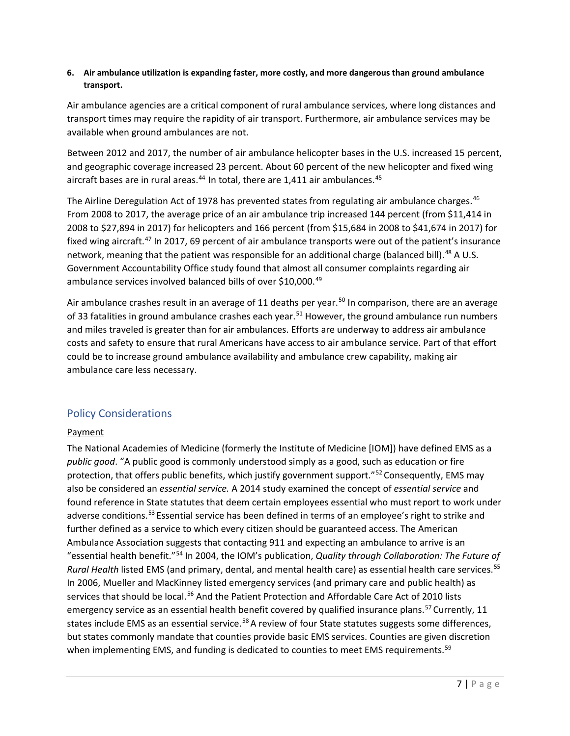#### **6. Air ambulance utilization is expanding faster, more costly, and more dangerous than ground ambulance transport.**

Air ambulance agencies are a critical component of rural ambulance services, where long distances and transport times may require the rapidity of air transport. Furthermore, air ambulance services may be available when ground ambulances are not.

Between 2012 and 2017, the number of air ambulance helicopter bases in the U.S. increased 15 percent, and geographic coverage increased 23 percent. About 60 percent of the new helicopter and fixed wing aircraft bases are in rural areas. $44$  In total, there are 1,411 air ambulances. $45$ 

The Airline Deregulation Act of 1978 has prevented states from regulating air ambulance charges.<sup>46</sup> From 2008 to 2017, the average price of an air ambulance trip increased 144 percent (from \$11,414 in 2008 to \$27,894 in 2017) for helicopters and 166 percent (from \$15,684 in 2008 to \$41,674 in 2017) for fixed wing aircraft.<sup>47</sup> In 2017, 69 percent of air ambulance transports were out of the patient's insurance network, meaning that the patient was responsible for an additional charge (balanced bill).<sup>48</sup> A U.S. Government Accountability Office study found that almost all consumer complaints regarding air ambulance services involved balanced bills of over \$10,000.<sup>49</sup>

Air ambulance crashes result in an average of 11 deaths per year.<sup>50</sup> In comparison, there are an average of 33 fatalities in ground ambulance crashes each year.<sup>51</sup> However, the ground ambulance run numbers and miles traveled is greater than for air ambulances. Efforts are underway to address air ambulance costs and safety to ensure that rural Americans have access to air ambulance service. Part of that effort could be to increase ground ambulance availability and ambulance crew capability, making air ambulance care less necessary.

## Policy Considerations

#### **Payment**

The National Academies of Medicine (formerly the Institute of Medicine [IOM]) have defined EMS as a *public good*. "A public good is commonly understood simply as a good, such as education or fire protection, that offers public benefits, which justify government support."<sup>52</sup> Consequently, EMS may also be considered an *essential service.* A 2014 study examined the concept of *essential service* and found reference in State statutes that deem certain employees essential who must report to work under adverse conditions.<sup>53</sup> Essential service has been defined in terms of an employee's right to strike and further defined as a service to which every citizen should be guaranteed access. The American Ambulance Association suggests that contacting 911 and expecting an ambulance to arrive is an "essential health benefit."54 In 2004, the IOM's publication, *Quality through Collaboration: The Future of Rural Health* listed EMS (and primary, dental, and mental health care) as essential health care services. 55 In 2006, Mueller and MacKinney listed emergency services (and primary care and public health) as services that should be local.<sup>56</sup> And the Patient Protection and Affordable Care Act of 2010 lists emergency service as an essential health benefit covered by qualified insurance plans.<sup>57</sup> Currently, 11 states include EMS as an essential service.<sup>58</sup> A review of four State statutes suggests some differences, but states commonly mandate that counties provide basic EMS services. Counties are given discretion when implementing EMS, and funding is dedicated to counties to meet EMS requirements.<sup>59</sup>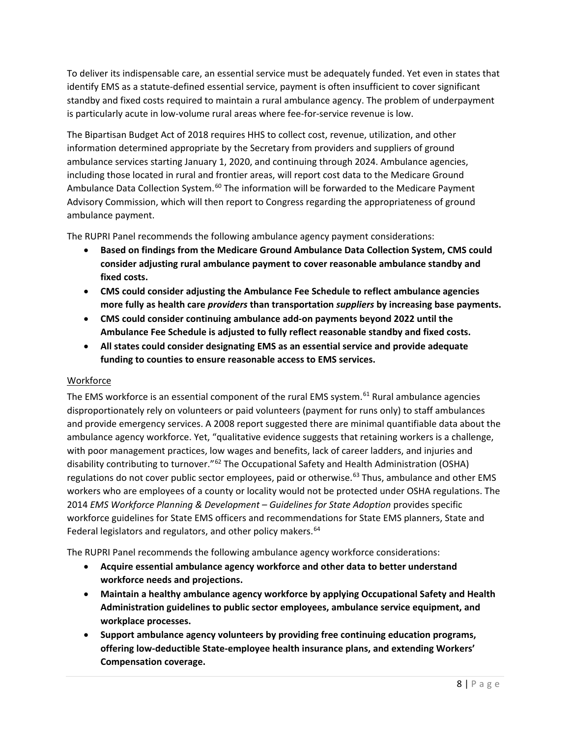To deliver its indispensable care, an essential service must be adequately funded. Yet even in states that identify EMS as a statute-defined essential service, payment is often insufficient to cover significant standby and fixed costs required to maintain a rural ambulance agency. The problem of underpayment is particularly acute in low-volume rural areas where fee-for-service revenue is low.

The Bipartisan Budget Act of 2018 requires HHS to collect cost, revenue, utilization, and other information determined appropriate by the Secretary from providers and suppliers of ground ambulance services starting January 1, 2020, and continuing through 2024. Ambulance agencies, including those located in rural and frontier areas, will report cost data to the Medicare Ground Ambulance Data Collection System.<sup>60</sup> The information will be forwarded to the Medicare Payment Advisory Commission, which will then report to Congress regarding the appropriateness of ground ambulance payment.

The RUPRI Panel recommends the following ambulance agency payment considerations:

- **Based on findings from the Medicare Ground Ambulance Data Collection System, CMS could consider adjusting rural ambulance payment to cover reasonable ambulance standby and fixed costs.**
- **CMS could consider adjusting the Ambulance Fee Schedule to reflect ambulance agencies more fully as health care** *providers* **than transportation** *suppliers* **by increasing base payments.**
- **CMS could consider continuing ambulance add-on payments beyond 2022 until the Ambulance Fee Schedule is adjusted to fully reflect reasonable standby and fixed costs.**
- **All states could consider designating EMS as an essential service and provide adequate funding to counties to ensure reasonable access to EMS services.**

## **Workforce**

The EMS workforce is an essential component of the rural EMS system.<sup>61</sup> Rural ambulance agencies disproportionately rely on volunteers or paid volunteers (payment for runs only) to staff ambulances and provide emergency services. A 2008 report suggested there are minimal quantifiable data about the ambulance agency workforce. Yet, "qualitative evidence suggests that retaining workers is a challenge, with poor management practices, low wages and benefits, lack of career ladders, and injuries and disability contributing to turnover."62 The Occupational Safety and Health Administration (OSHA) regulations do not cover public sector employees, paid or otherwise.<sup>63</sup> Thus, ambulance and other EMS workers who are employees of a county or locality would not be protected under OSHA regulations. The 2014 *EMS Workforce Planning & Development – Guidelines for State Adoption* provides specific workforce guidelines for State EMS officers and recommendations for State EMS planners, State and Federal legislators and regulators, and other policy makers.<sup>64</sup>

The RUPRI Panel recommends the following ambulance agency workforce considerations:

- **Acquire essential ambulance agency workforce and other data to better understand workforce needs and projections.**
- **Maintain a healthy ambulance agency workforce by applying Occupational Safety and Health Administration guidelines to public sector employees, ambulance service equipment, and workplace processes.**
- **Support ambulance agency volunteers by providing free continuing education programs, offering low-deductible State-employee health insurance plans, and extending Workers' Compensation coverage.**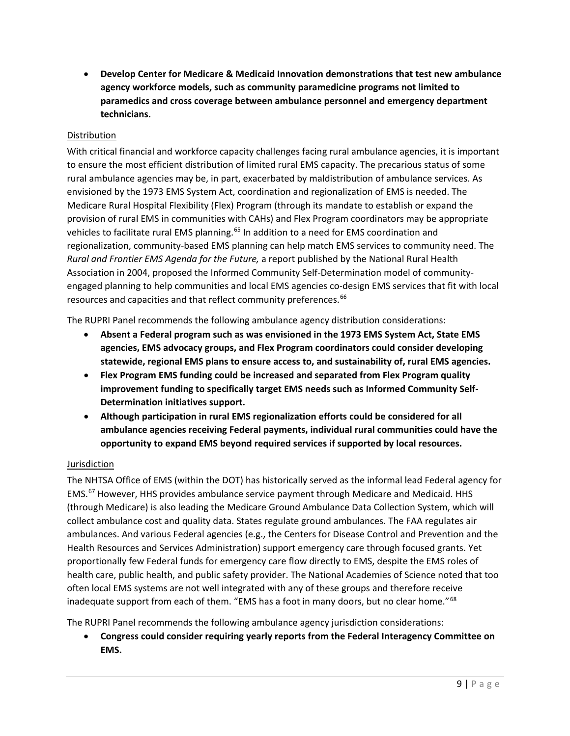• **Develop Center for Medicare & Medicaid Innovation demonstrations that test new ambulance agency workforce models, such as community paramedicine programs not limited to paramedics and cross coverage between ambulance personnel and emergency department technicians.**

#### Distribution

With critical financial and workforce capacity challenges facing rural ambulance agencies, it is important to ensure the most efficient distribution of limited rural EMS capacity. The precarious status of some rural ambulance agencies may be, in part, exacerbated by maldistribution of ambulance services. As envisioned by the 1973 EMS System Act, coordination and regionalization of EMS is needed. The Medicare Rural Hospital Flexibility (Flex) Program (through its mandate to establish or expand the provision of rural EMS in communities with CAHs) and Flex Program coordinators may be appropriate vehicles to facilitate rural EMS planning.<sup>65</sup> In addition to a need for EMS coordination and regionalization, community-based EMS planning can help match EMS services to community need. The *Rural and Frontier EMS Agenda for the Future,* a report published by the National Rural Health Association in 2004, proposed the Informed Community Self-Determination model of communityengaged planning to help communities and local EMS agencies co-design EMS services that fit with local resources and capacities and that reflect community preferences.<sup>66</sup>

The RUPRI Panel recommends the following ambulance agency distribution considerations:

- **Absent a Federal program such as was envisioned in the 1973 EMS System Act, State EMS agencies, EMS advocacy groups, and Flex Program coordinators could consider developing statewide, regional EMS plans to ensure access to, and sustainability of, rural EMS agencies.**
- **Flex Program EMS funding could be increased and separated from Flex Program quality improvement funding to specifically target EMS needs such as Informed Community Self-Determination initiatives support.**
- **Although participation in rural EMS regionalization efforts could be considered for all ambulance agencies receiving Federal payments, individual rural communities could have the opportunity to expand EMS beyond required services if supported by local resources.**

#### **Jurisdiction**

The NHTSA Office of EMS (within the DOT) has historically served as the informal lead Federal agency for EMS.67 However, HHS provides ambulance service payment through Medicare and Medicaid. HHS (through Medicare) is also leading the Medicare Ground Ambulance Data Collection System, which will collect ambulance cost and quality data. States regulate ground ambulances. The FAA regulates air ambulances. And various Federal agencies (e.g., the Centers for Disease Control and Prevention and the Health Resources and Services Administration) support emergency care through focused grants. Yet proportionally few Federal funds for emergency care flow directly to EMS, despite the EMS roles of health care, public health, and public safety provider. The National Academies of Science noted that too often local EMS systems are not well integrated with any of these groups and therefore receive inadequate support from each of them. "EMS has a foot in many doors, but no clear home."<sup>68</sup>

The RUPRI Panel recommends the following ambulance agency jurisdiction considerations:

• **Congress could consider requiring yearly reports from the Federal Interagency Committee on EMS.**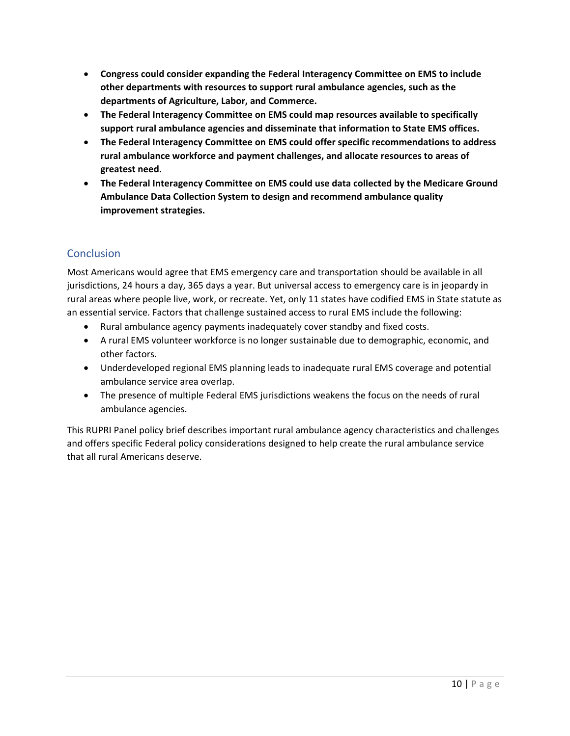- **Congress could consider expanding the Federal Interagency Committee on EMS to include other departments with resources to support rural ambulance agencies, such as the departments of Agriculture, Labor, and Commerce.**
- **The Federal Interagency Committee on EMS could map resources available to specifically support rural ambulance agencies and disseminate that information to State EMS offices.**
- **The Federal Interagency Committee on EMS could offer specific recommendations to address rural ambulance workforce and payment challenges, and allocate resources to areas of greatest need.**
- **The Federal Interagency Committee on EMS could use data collected by the Medicare Ground Ambulance Data Collection System to design and recommend ambulance quality improvement strategies.**

## **Conclusion**

Most Americans would agree that EMS emergency care and transportation should be available in all jurisdictions, 24 hours a day, 365 days a year. But universal access to emergency care is in jeopardy in rural areas where people live, work, or recreate. Yet, only 11 states have codified EMS in State statute as an essential service. Factors that challenge sustained access to rural EMS include the following:

- Rural ambulance agency payments inadequately cover standby and fixed costs.
- A rural EMS volunteer workforce is no longer sustainable due to demographic, economic, and other factors.
- Underdeveloped regional EMS planning leads to inadequate rural EMS coverage and potential ambulance service area overlap.
- The presence of multiple Federal EMS jurisdictions weakens the focus on the needs of rural ambulance agencies.

This RUPRI Panel policy brief describes important rural ambulance agency characteristics and challenges and offers specific Federal policy considerations designed to help create the rural ambulance service that all rural Americans deserve.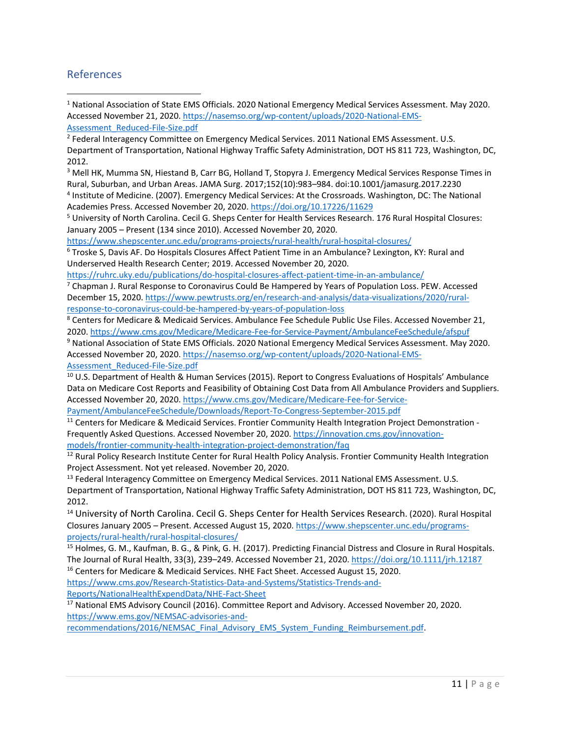## References

- <sup>1</sup> National Association of State EMS Officials. 2020 National Emergency Medical Services Assessment. May 2020. Accessed November 21, 2020. https://nasemso.org/wp-content/uploads/2020-National-EMS-Assessment\_Reduced-File-Size.pdf
- <sup>2</sup> Federal Interagency Committee on Emergency Medical Services. 2011 National EMS Assessment. U.S. Department of Transportation, National Highway Traffic Safety Administration, DOT HS 811 723, Washington, DC, 2012.

<sup>3</sup> Mell HK, Mumma SN, Hiestand B, Carr BG, Holland T, Stopyra J. Emergency Medical Services Response Times in Rural, Suburban, and Urban Areas. JAMA Surg. 2017;152(10):983–984. doi:10.1001/jamasurg.2017.2230 <sup>4</sup> Institute of Medicine. (2007). Emergency Medical Services: At the Crossroads. Washington, DC: The National Academies Press. Accessed November 20, 2020. https://doi.org/10.17226/11629

<sup>5</sup> University of North Carolina. Cecil G. Sheps Center for Health Services Research. 176 Rural Hospital Closures: January 2005 – Present (134 since 2010). Accessed November 20, 2020.

https://www.shepscenter.unc.edu/programs-projects/rural-health/rural-hospital-closures/

<sup>6</sup> Troske S, Davis AF. Do Hospitals Closures Affect Patient Time in an Ambulance? Lexington, KY: Rural and Underserved Health Research Center; 2019. Accessed November 20, 2020.

https://ruhrc.uky.edu/publications/do-hospital-closures-affect-patient-time-in-an-ambulance/

 $7$  Chapman J. Rural Response to Coronavirus Could Be Hampered by Years of Population Loss. PEW. Accessed December 15, 2020. https://www.pewtrusts.org/en/research-and-analysis/data-visualizations/2020/ruralresponse-to-coronavirus-could-be-hampered-by-years-of-population-loss

<sup>8</sup> Centers for Medicare & Medicaid Services. Ambulance Fee Schedule Public Use Files. Accessed November 21, 2020. https://www.cms.gov/Medicare/Medicare-Fee-for-Service-Payment/AmbulanceFeeSchedule/afspuf

<sup>9</sup> National Association of State EMS Officials. 2020 National Emergency Medical Services Assessment. May 2020. Accessed November 20, 2020. https://nasemso.org/wp-content/uploads/2020-National-EMS-Assessment\_Reduced-File-Size.pdf

<sup>10</sup> U.S. Department of Health & Human Services (2015). Report to Congress Evaluations of Hospitals' Ambulance Data on Medicare Cost Reports and Feasibility of Obtaining Cost Data from All Ambulance Providers and Suppliers. Accessed November 20, 2020. https://www.cms.gov/Medicare/Medicare-Fee-for-Service-Payment/AmbulanceFeeSchedule/Downloads/Report-To-Congress-September-2015.pdf

<sup>11</sup> Centers for Medicare & Medicaid Services. Frontier Community Health Integration Project Demonstration -Frequently Asked Questions. Accessed November 20, 2020. https://innovation.cms.gov/innovationmodels/frontier-community-health-integration-project-demonstration/faq

<sup>12</sup> Rural Policy Research Institute Center for Rural Health Policy Analysis. Frontier Community Health Integration Project Assessment. Not yet released. November 20, 2020.

<sup>13</sup> Federal Interagency Committee on Emergency Medical Services. 2011 National EMS Assessment. U.S. Department of Transportation, National Highway Traffic Safety Administration, DOT HS 811 723, Washington, DC, 2012.

<sup>14</sup> University of North Carolina. Cecil G. Sheps Center for Health Services Research. (2020). Rural Hospital Closures January 2005 – Present. Accessed August 15, 2020. https://www.shepscenter.unc.edu/programsprojects/rural-health/rural-hospital-closures/

<sup>15</sup> Holmes, G. M., Kaufman, B. G., & Pink, G. H. (2017). Predicting Financial Distress and Closure in Rural Hospitals. The Journal of Rural Health, 33(3), 239–249. Accessed November 21, 2020. https://doi.org/10.1111/jrh.12187 <sup>16</sup> Centers for Medicare & Medicaid Services. NHE Fact Sheet. Accessed August 15, 2020.

https://www.cms.gov/Research-Statistics-Data-and-Systems/Statistics-Trends-and-Reports/NationalHealthExpendData/NHE-Fact-Sheet

<sup>17</sup> National EMS Advisory Council (2016). Committee Report and Advisory. Accessed November 20, 2020. https://www.ems.gov/NEMSAC-advisories-and-

recommendations/2016/NEMSAC\_Final\_Advisory\_EMS\_System\_Funding\_Reimbursement.pdf.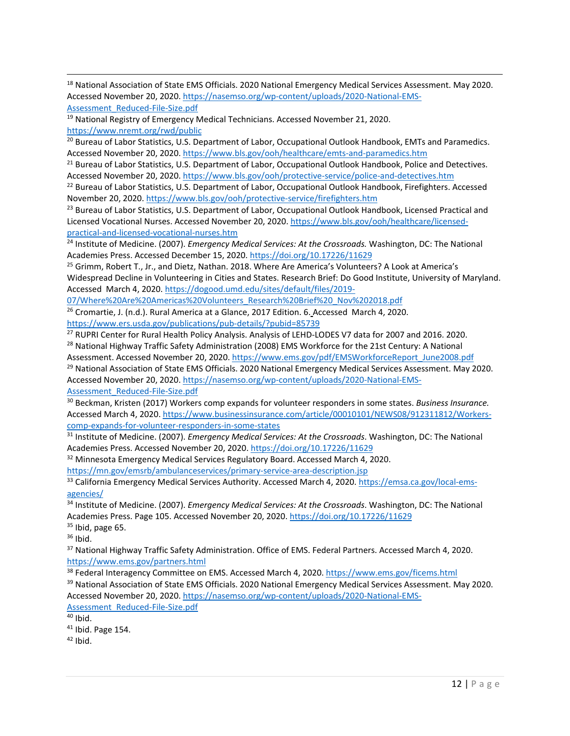| <sup>18</sup> National Association of State EMS Officials. 2020 National Emergency Medical Services Assessment. May 2020. |
|---------------------------------------------------------------------------------------------------------------------------|
| Accessed November 20, 2020. https://nasemso.org/wp-content/uploads/2020-National-EMS-                                     |
| Assessment Reduced-File-Size.pdf                                                                                          |

<sup>19</sup> National Registry of Emergency Medical Technicians. Accessed November 21, 2020. https://www.nremt.org/rwd/public

<sup>20</sup> Bureau of Labor Statistics, U.S. Department of Labor, Occupational Outlook Handbook, EMTs and Paramedics. Accessed November 20, 2020. https://www.bls.gov/ooh/healthcare/emts-and-paramedics.htm

<sup>21</sup> Bureau of Labor Statistics, U.S. Department of Labor, Occupational Outlook Handbook, Police and Detectives. Accessed November 20, 2020. https://www.bls.gov/ooh/protective-service/police-and-detectives.htm

<sup>22</sup> Bureau of Labor Statistics, U.S. Department of Labor, Occupational Outlook Handbook, Firefighters. Accessed November 20, 2020. https://www.bls.gov/ooh/protective-service/firefighters.htm

<sup>23</sup> Bureau of Labor Statistics, U.S. Department of Labor, Occupational Outlook Handbook, Licensed Practical and Licensed Vocational Nurses. Accessed November 20, 2020. https://www.bls.gov/ooh/healthcare/licensedpractical-and-licensed-vocational-nurses.htm

<sup>24</sup> Institute of Medicine. (2007). *Emergency Medical Services: At the Crossroads.* Washington, DC: The National Academies Press. Accessed December 15, 2020. https://doi.org/10.17226/11629

<sup>25</sup> Grimm, Robert T., Jr., and Dietz, Nathan. 2018. Where Are America's Volunteers? A Look at America's Widespread Decline in Volunteering in Cities and States. Research Brief: Do Good Institute, University of Maryland. Accessed March 4, 2020. https://dogood.umd.edu/sites/default/files/2019-

07/Where%20Are%20Americas%20Volunteers\_Research%20Brief%20\_Nov%202018.pdf

 $26$  Cromartie, J. (n.d.). Rural America at a Glance, 2017 Edition. 6. Accessed March 4, 2020.

https://www.ers.usda.gov/publications/pub-details/?pubid=85739

<sup>27</sup> RUPRI Center for Rural Health Policy Analysis. Analysis of LEHD-LODES V7 data for 2007 and 2016. 2020.

<sup>28</sup> National Highway Traffic Safety Administration (2008) EMS Workforce for the 21st Century: A National

Assessment. Accessed November 20, 2020. https://www.ems.gov/pdf/EMSWorkforceReport\_June2008.pdf

<sup>29</sup> National Association of State EMS Officials. 2020 National Emergency Medical Services Assessment. May 2020. Accessed November 20, 2020. https://nasemso.org/wp-content/uploads/2020-National-EMS-

Assessment\_Reduced-File-Size.pdf

<sup>30</sup> Beckman, Kristen (2017) Workers comp expands for volunteer responders in some states. *Business Insurance.* Accessed March 4, 2020. https://www.businessinsurance.com/article/00010101/NEWS08/912311812/Workerscomp-expands-for-volunteer-responders-in-some-states

<sup>31</sup> Institute of Medicine. (2007). *Emergency Medical Services: At the Crossroads*. Washington, DC: The National Academies Press. Accessed November 20, 2020. https://doi.org/10.17226/11629

<sup>32</sup> Minnesota Emergency Medical Services Regulatory Board. Accessed March 4, 2020.

https://mn.gov/emsrb/ambulanceservices/primary-service-area-description.jsp<br><sup>33</sup> California Emergency Medical Services Authority. Accessed March 4, 2020. https://emsa.ca.gov/local-emsagencies/

<sup>34</sup> Institute of Medicine. (2007). *Emergency Medical Services: At the Crossroads*. Washington, DC: The National Academies Press. Page 105. Accessed November 20, 2020. https://doi.org/10.17226/11629

 $35$  Ibid, page 65.

<sup>36</sup> Ibid.

<sup>37</sup> National Highway Traffic Safety Administration. Office of EMS. Federal Partners. Accessed March 4, 2020. https://www.ems.gov/partners.html

<sup>38</sup> Federal Interagency Committee on EMS. Accessed March 4, 2020. https://www.ems.gov/ficems.html

<sup>39</sup> National Association of State EMS Officials. 2020 National Emergency Medical Services Assessment. May 2020. Accessed November 20, 2020. https://nasemso.org/wp-content/uploads/2020-National-EMS-Assessment\_Reduced-File-Size.pdf

 $40$  Ibid.<br> $41$  Ibid. Page 154.<br> $42$  Ibid.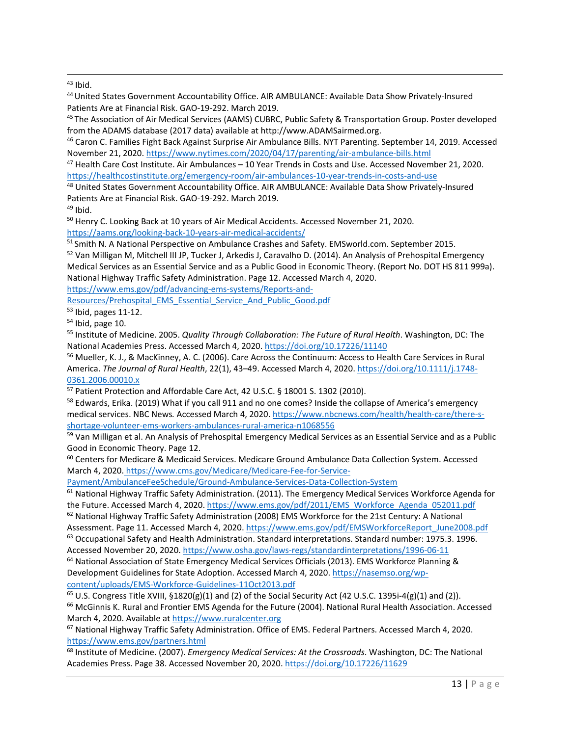$43$  Ibid.

44United States Government Accountability Office. AIR AMBULANCE: Available Data Show Privately-Insured Patients Are at Financial Risk. GAO-19-292. March 2019.

<sup>45</sup> The Association of Air Medical Services (AAMS) CUBRC, Public Safety & Transportation Group. Poster developed from the ADAMS database (2017 data) available at http://www.ADAMSairmed.org.<br><sup>46</sup> Caron C. Families Fight Back Against Surprise Air Ambulance Bills. NYT Parenting. September 14, 2019. Accessed

November 21, 2020. https://www.nytimes.com/2020/04/17/parenting/air-ambulance-bills.html

<sup>47</sup> Health Care Cost Institute. Air Ambulances – 10 Year Trends in Costs and Use. Accessed November 21, 2020. https://healthcostinstitute.org/emergency-room/air-ambulances-10-year-trends-in-costs-and-use

<sup>48</sup> United States Government Accountability Office. AIR AMBULANCE: Available Data Show Privately-Insured Patients Are at Financial Risk. GAO-19-292. March 2019.

 $49$  Ibid.

<sup>50</sup> Henry C. Looking Back at 10 years of Air Medical Accidents. Accessed November 21, 2020. https://aams.org/looking-back-10-years-air-medical-accidents/

<sup>51</sup> Smith N. A National Perspective on Ambulance Crashes and Safety. EMSworld.com. September 2015.

<sup>52</sup> Van Milligan M, Mitchell III JP, Tucker J, Arkedis J, Caravalho D. (2014). An Analysis of Prehospital Emergency Medical Services as an Essential Service and as a Public Good in Economic Theory. (Report No. DOT HS 811 999a). National Highway Traffic Safety Administration. Page 12. Accessed March 4, 2020.

https://www.ems.gov/pdf/advancing-ems-systems/Reports-and-

Resources/Prehospital\_EMS\_Essential\_Service\_And\_Public\_Good.pdf

<sup>53</sup> Ibid, pages 11-12.

 $54$  Ibid, page 10.

<sup>55</sup> Institute of Medicine. 2005. *Quality Through Collaboration: The Future of Rural Health*. Washington, DC: The National Academies Press. Accessed March 4, 2020. https://doi.org/10.17226/11140

<sup>56</sup> Mueller, K. J., & MacKinney, A. C. (2006). Care Across the Continuum: Access to Health Care Services in Rural America. *The Journal of Rural Health*, 22(1), 43–49. Accessed March 4, 2020. https://doi.org/10.1111/j.1748- 0361.2006.00010.x

<sup>57</sup> Patient Protection and Affordable Care Act, 42 U.S.C. § 18001 S. 1302 (2010).

<sup>58</sup> Edwards, Erika. (2019) What if you call 911 and no one comes? Inside the collapse of America's emergency medical services. NBC News*.* Accessed March 4, 2020. https://www.nbcnews.com/health/health-care/there-sshortage-volunteer-ems-workers-ambulances-rural-america-n1068556

59 Van Milligan et al. An Analysis of Prehospital Emergency Medical Services as an Essential Service and as a Public Good in Economic Theory. Page 12.

<sup>60</sup> Centers for Medicare & Medicaid Services. Medicare Ground Ambulance Data Collection System. Accessed March 4, 2020. https://www.cms.gov/Medicare/Medicare-Fee-for-Service-

Payment/AmbulanceFeeSchedule/Ground-Ambulance-Services-Data-Collection-System

<sup>61</sup> National Highway Traffic Safety Administration. (2011). The Emergency Medical Services Workforce Agenda for the Future. Accessed March 4, 2020. https://www.ems.gov/pdf/2011/EMS\_Workforce\_Agenda\_052011.pdf

 $62$  National Highway Traffic Safety Administration (2008) EMS Workforce for the 21st Century: A National Assessment. Page 11. Accessed March 4, 2020. https://www.ems.gov/pdf/EMSWorkforceReport\_June2008.pdf

<sup>63</sup> Occupational Safety and Health Administration. Standard interpretations. Standard number: 1975.3. 1996. Accessed November 20, 2020. https://www.osha.gov/laws-regs/standardinterpretations/1996-06-11

<sup>64</sup> National Association of State Emergency Medical Services Officials (2013). EMS Workforce Planning & Development Guidelines for State Adoption. Accessed March 4, 2020. https://nasemso.org/wpcontent/uploads/EMS-Workforce-Guidelines-11Oct2013.pdf

<sup>65</sup> U.S. Congress Title XVIII, §1820(g)(1) and (2) of the Social Security Act (42 U.S.C. 1395i-4(g)(1) and (2)).

<sup>66</sup> McGinnis K. Rural and Frontier EMS Agenda for the Future (2004). National Rural Health Association. Accessed March 4, 2020. Available at https://www.ruralcenter.org

<sup>67</sup> National Highway Traffic Safety Administration. Office of EMS. Federal Partners. Accessed March 4, 2020. https://www.ems.gov/partners.html

<sup>68</sup> Institute of Medicine. (2007). *Emergency Medical Services: At the Crossroads*. Washington, DC: The National Academies Press. Page 38. Accessed November 20, 2020. https://doi.org/10.17226/11629